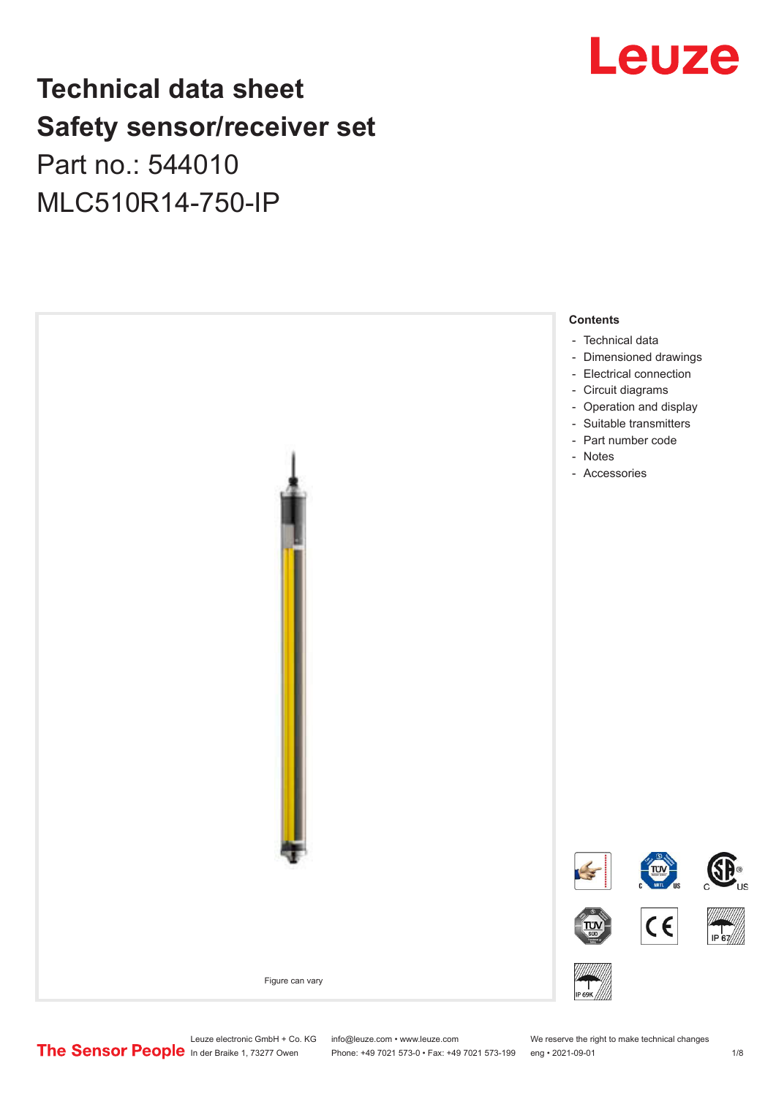## **Technical data sheet Safety sensor/receiver set**

## Part no.: 544010 MLC510R14-750-IP





Leuze electronic GmbH + Co. KG info@leuze.com • www.leuze.com We reserve the right to make technical changes<br>
The Sensor People in der Braike 1, 73277 Owen Phone: +49 7021 573-0 • Fax: +49 7021 573-199 eng • 2021-09-01

Phone: +49 7021 573-0 • Fax: +49 7021 573-199 eng • 2021-09-01 1 2021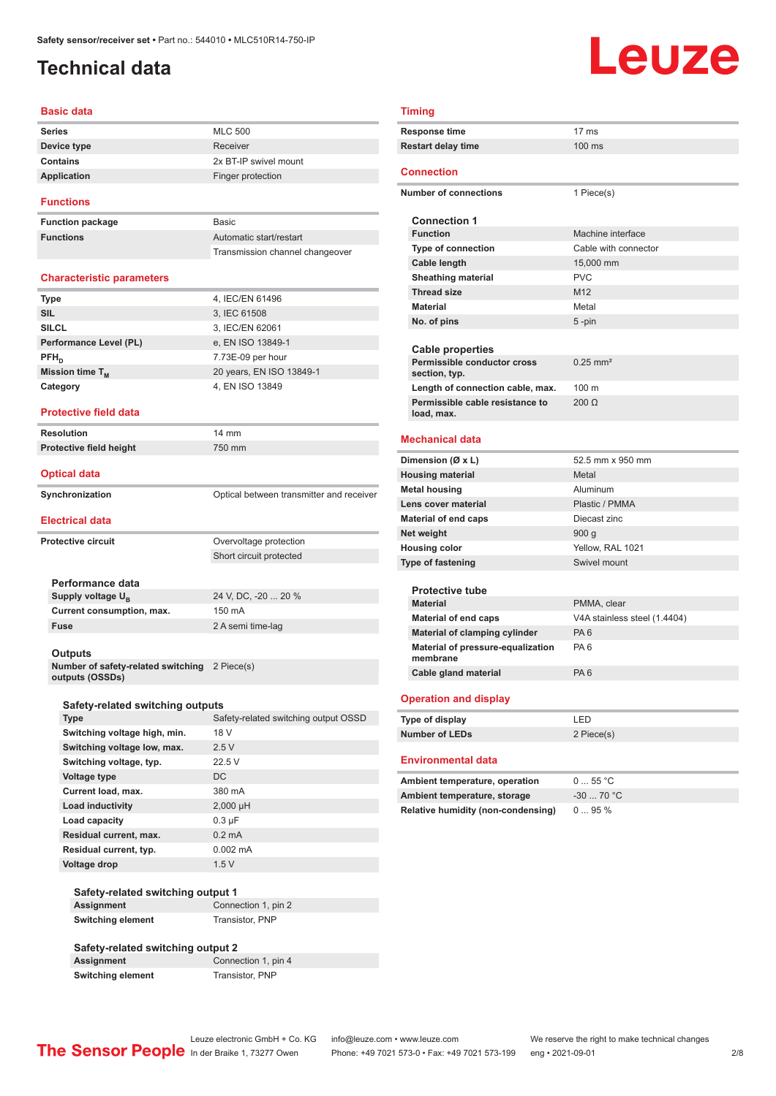## <span id="page-1-0"></span>**Technical data**

# Leuze

#### **Basic data**

| <b>Series</b> | <b>MLC 500</b>        |
|---------------|-----------------------|
| Device type   | Receiver              |
| Contains      | 2x BT-IP swivel mount |
| Application   | Finger protection     |
|               |                       |

#### **Functions**

**Function package Functions** 

| <b>Basic</b>                    |
|---------------------------------|
| Automatic start/restart         |
| Transmission channel changeover |

#### **Characteristic parameters**

| <b>Type</b>            | 4, IEC/EN 61496          |
|------------------------|--------------------------|
| <b>SIL</b>             | 3, IEC 61508             |
| <b>SILCL</b>           | 3, IEC/EN 62061          |
| Performance Level (PL) | e, EN ISO 13849-1        |
| $PFH_n$                | 7.73E-09 per hour        |
| Mission time $T_{M}$   | 20 years, EN ISO 13849-1 |
| Category               | 4, EN ISO 13849          |
|                        |                          |

#### **Protective field data**

**Resolution** 14 mm **Protective field height** 750 mm

#### **Optical data**

| Synchronization | Optical between transmitter and receiver |
|-----------------|------------------------------------------|

#### **Electrical data**

|                           | ------------                       |                         |
|---------------------------|------------------------------------|-------------------------|
| <b>Protective circuit</b> |                                    | Overvoltage protection  |
|                           |                                    | Short circuit protected |
|                           |                                    |                         |
|                           | Performance data                   |                         |
|                           | Supply voltage U <sub>p</sub>      | 24 V, DC, -20  20 %     |
|                           | Current consumption, max.          | 150 mA                  |
|                           | <b>Fuse</b>                        | 2 A semi time-lag       |
|                           |                                    |                         |
|                           | <b>Outputs</b>                     |                         |
|                           | Number of estaty-related ewitching | 2 Piere(s)              |

**Number of safety-related switching outputs (OSSDs)** ce(s)

| Safety-related switching outputs |                                      |  |  |
|----------------------------------|--------------------------------------|--|--|
| <b>Type</b>                      | Safety-related switching output OSSD |  |  |
| Switching voltage high, min.     | 18 V                                 |  |  |
| Switching voltage low, max.      | 2.5V                                 |  |  |
| Switching voltage, typ.          | 22.5V                                |  |  |
| Voltage type                     | DC.                                  |  |  |
| Current load, max.               | 380 mA                               |  |  |
| <b>Load inductivity</b>          | $2,000$ µH                           |  |  |
| Load capacity                    | $0.3 \mu F$                          |  |  |
| Residual current, max.           | $0.2 \text{ mA}$                     |  |  |
| Residual current, typ.           | $0.002 \, \text{mA}$                 |  |  |
| Voltage drop                     | 1.5V                                 |  |  |

| Safety-related switching output 1 |                     |  |  |
|-----------------------------------|---------------------|--|--|
| Assignment                        | Connection 1, pin 2 |  |  |
| <b>Switching element</b>          | Transistor, PNP     |  |  |

#### **Safety-related switching output 2 Connection 1, pin 4 Switching element** Transistor, PNP

#### **Timing**

| <b>Timing</b>                                 |                              |  |  |  |
|-----------------------------------------------|------------------------------|--|--|--|
| Response time                                 | 17 <sub>ms</sub>             |  |  |  |
| <b>Restart delay time</b>                     | $100$ ms                     |  |  |  |
| <b>Connection</b>                             |                              |  |  |  |
| <b>Number of connections</b>                  | 1 Piece(s)                   |  |  |  |
| <b>Connection 1</b>                           |                              |  |  |  |
| <b>Function</b>                               | Machine interface            |  |  |  |
| Type of connection                            | Cable with connector         |  |  |  |
| <b>Cable length</b>                           | 15,000 mm                    |  |  |  |
| <b>Sheathing material</b>                     | <b>PVC</b>                   |  |  |  |
| <b>Thread size</b>                            | M <sub>12</sub>              |  |  |  |
| <b>Material</b>                               | Metal                        |  |  |  |
| No. of pins                                   | 5 -pin                       |  |  |  |
|                                               |                              |  |  |  |
| <b>Cable properties</b>                       |                              |  |  |  |
| Permissible conductor cross<br>section, typ.  | $0.25$ mm <sup>2</sup>       |  |  |  |
| Length of connection cable, max.              | 100 <sub>m</sub>             |  |  |  |
| Permissible cable resistance to               | $200 \Omega$                 |  |  |  |
| load, max.                                    |                              |  |  |  |
| <b>Mechanical data</b>                        |                              |  |  |  |
| Dimension (Ø x L)                             | 52.5 mm x 950 mm             |  |  |  |
| <b>Housing material</b>                       | Metal                        |  |  |  |
| Metal housing                                 | Aluminum                     |  |  |  |
| Lens cover material                           | Plastic / PMMA               |  |  |  |
| <b>Material of end caps</b>                   | Diecast zinc                 |  |  |  |
| Net weight                                    | 900 g                        |  |  |  |
| <b>Housing color</b>                          | Yellow, RAL 1021             |  |  |  |
| <b>Type of fastening</b>                      | Swivel mount                 |  |  |  |
|                                               |                              |  |  |  |
| <b>Protective tube</b><br><b>Material</b>     | PMMA, clear                  |  |  |  |
| <b>Material of end caps</b>                   | V4A stainless steel (1.4404) |  |  |  |
| Material of clamping cylinder                 | PA <sub>6</sub>              |  |  |  |
| Material of pressure-equalization<br>membrane | PA <sub>6</sub>              |  |  |  |
| Cable gland material                          | PA <sub>6</sub>              |  |  |  |
|                                               |                              |  |  |  |
| <b>Operation and display</b>                  |                              |  |  |  |
| Type of display                               | LED                          |  |  |  |
| <b>Number of LEDs</b>                         | 2 Piece(s)                   |  |  |  |
| Environmental data                            |                              |  |  |  |
| Ambient temperature, operation                | 055 °C                       |  |  |  |
| Ambient temperature, storage                  | $-30$ 70 °C                  |  |  |  |
| <b>Relative humidity (non-condensing)</b>     | 095%                         |  |  |  |

Leuze electronic GmbH + Co. KG info@leuze.com • www.leuze.com We reserve the right to make technical changes<br>
The Sensor People in der Braike 1, 73277 Owen Phone: +49 7021 573-0 • Fax: +49 7021 573-199 eng • 2021-09-01 Phone: +49 7021 573-0 • Fax: +49 7021 573-199 eng • 2021-09-01 2/8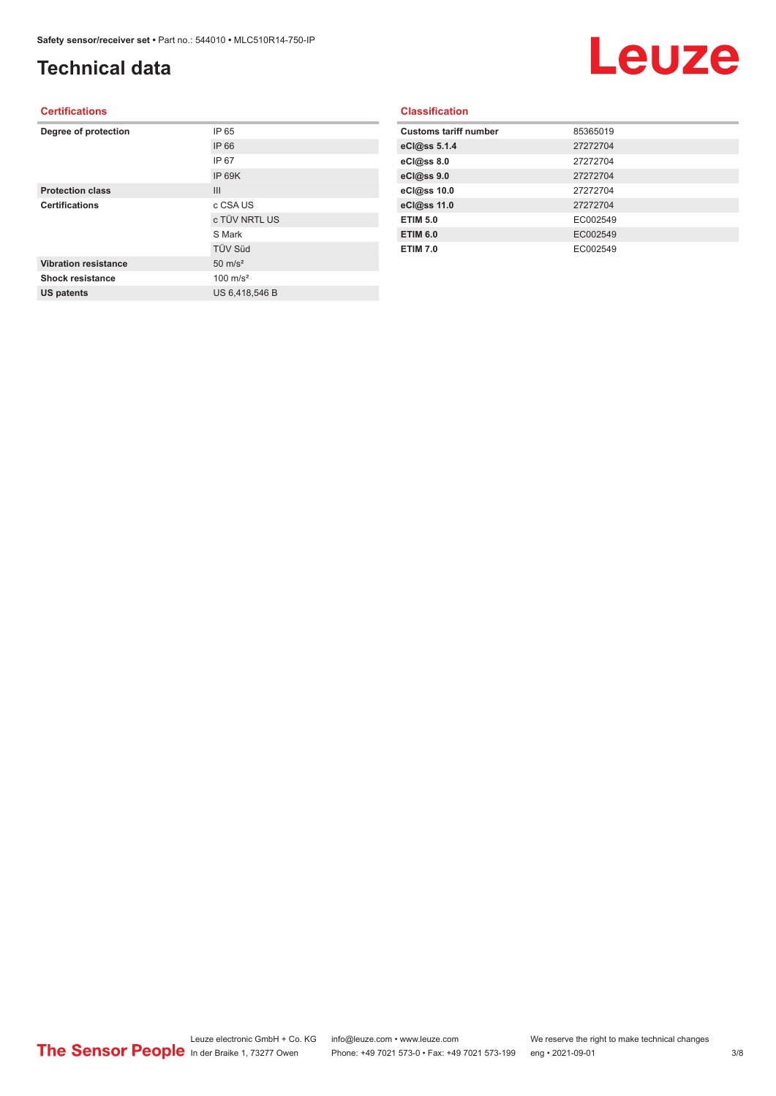## **Technical data**

## Leuze

#### **Certifications**

| Degree of protection        | IP 65               |
|-----------------------------|---------------------|
|                             | IP 66               |
|                             | IP 67               |
|                             | IP 69K              |
| <b>Protection class</b>     | III                 |
| <b>Certifications</b>       | c CSA US            |
|                             | c TÜV NRTL US       |
|                             | S Mark              |
|                             | <b>TÜV Süd</b>      |
| <b>Vibration resistance</b> | $50 \text{ m/s}^2$  |
| Shock resistance            | $100 \text{ m/s}^2$ |
| <b>US patents</b>           | US 6,418,546 B      |
|                             |                     |

| <b>Classification</b> |  |  |  |
|-----------------------|--|--|--|
|                       |  |  |  |

| <b>Customs tariff number</b> | 85365019 |
|------------------------------|----------|
| eCl@ss 5.1.4                 | 27272704 |
| eCl@ss 8.0                   | 27272704 |
| eCl@ss 9.0                   | 27272704 |
| eCl@ss 10.0                  | 27272704 |
| eCl@ss 11.0                  | 27272704 |
| <b>ETIM 5.0</b>              | EC002549 |
| <b>ETIM 6.0</b>              | EC002549 |
| <b>ETIM 7.0</b>              | EC002549 |
|                              |          |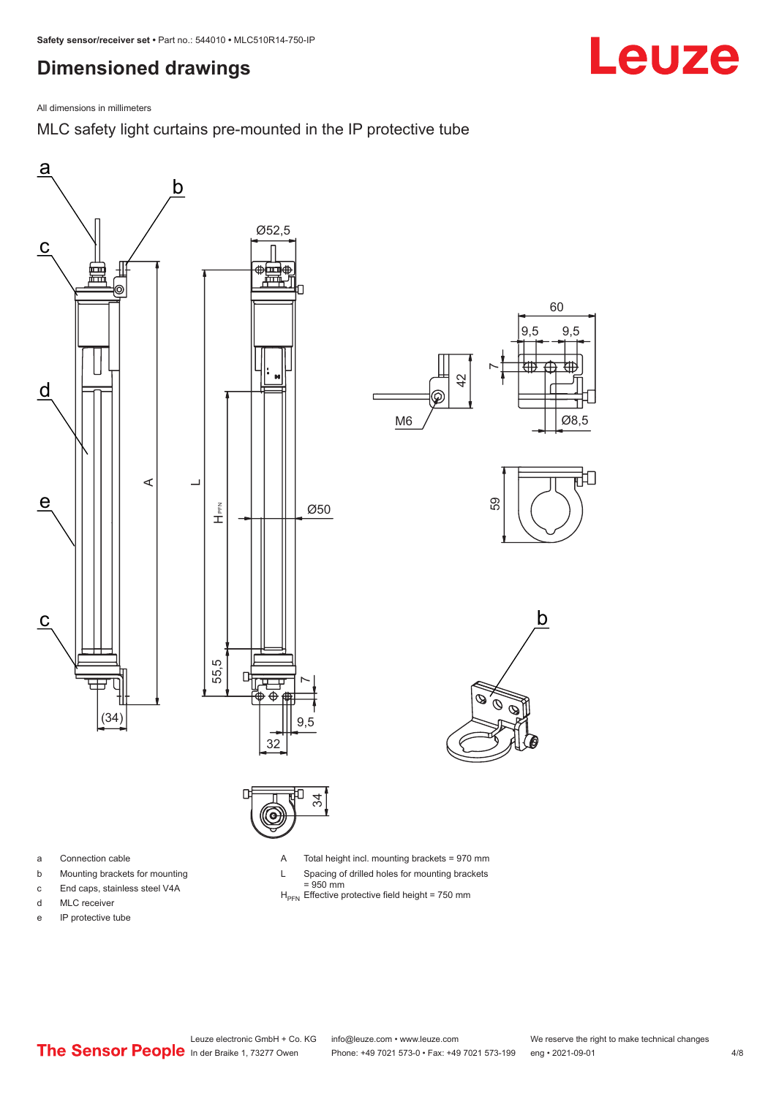## <span id="page-3-0"></span>**Dimensioned drawings**

All dimensions in millimeters

MLC safety light curtains pre-mounted in the IP protective tube





a Connection cable

- b Mounting brackets for mounting
- c End caps, stainless steel V4A
- d MLC receiver
- e IP protective tube

A Total height incl. mounting brackets = 970 mm

- L Spacing of drilled holes for mounting brackets
	- $= 950$  mm
- $H_{\text{PEN}}$  Effective protective field height = 750 mm

Leuze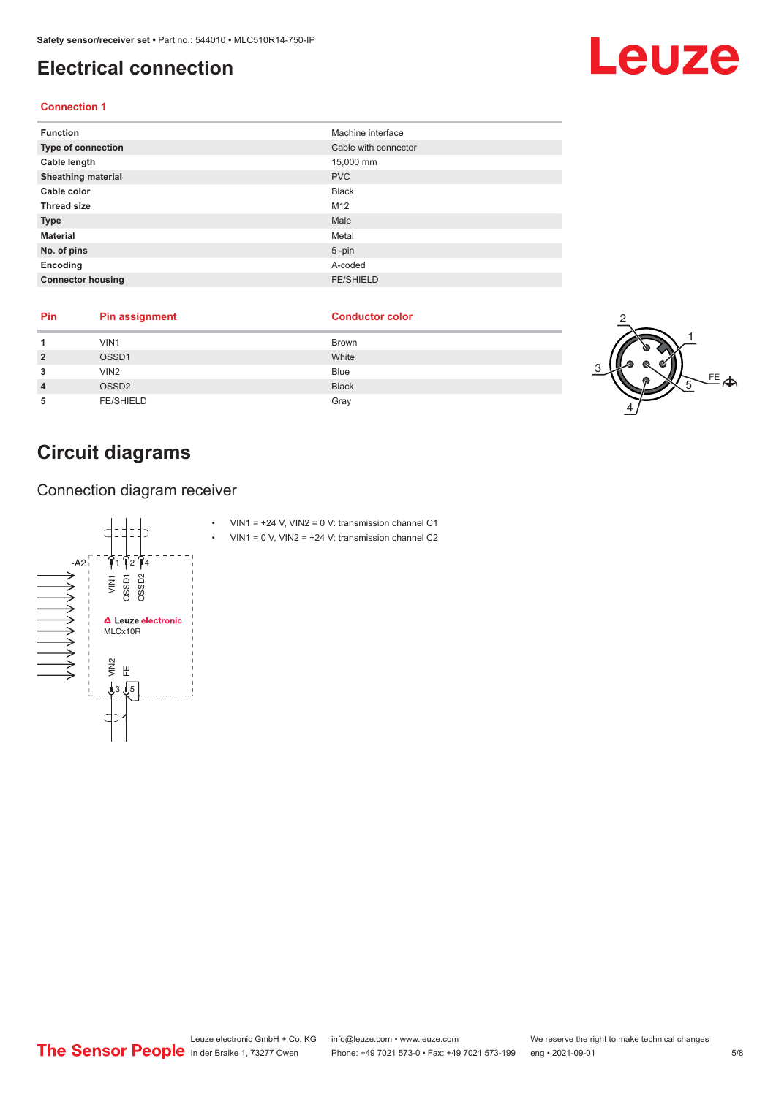## <span id="page-4-0"></span>**Electrical connection**

#### **Connection 1**

| <b>Function</b>           | Machine interface    |
|---------------------------|----------------------|
| Type of connection        | Cable with connector |
| Cable length              | 15,000 mm            |
| <b>Sheathing material</b> | <b>PVC</b>           |
| Cable color               | <b>Black</b>         |
| <b>Thread size</b>        | M <sub>12</sub>      |
| <b>Type</b>               | Male                 |
| <b>Material</b>           | Metal                |
| No. of pins               | $5$ -pin             |
| Encoding                  | A-coded              |
| <b>Connector housing</b>  | <b>FE/SHIELD</b>     |

| Pin | Pin assignment    | <b>Conductor color</b> |              |
|-----|-------------------|------------------------|--------------|
|     | VIN1              | <b>Brown</b>           |              |
|     | OSSD1             | White                  |              |
|     | VIN <sub>2</sub>  | Blue                   |              |
|     | OSSD <sub>2</sub> | <b>Black</b>           | $\triangleq$ |
| ۰b  | <b>FE/SHIELD</b>  | Gray                   |              |

## **Circuit diagrams**

Connection diagram receiver



- VIN1 =  $+24$  V, VIN2 = 0 V: transmission channel C1
- VIN1 =  $0$  V, VIN2 =  $+24$  V: transmission channel C2

## Leuze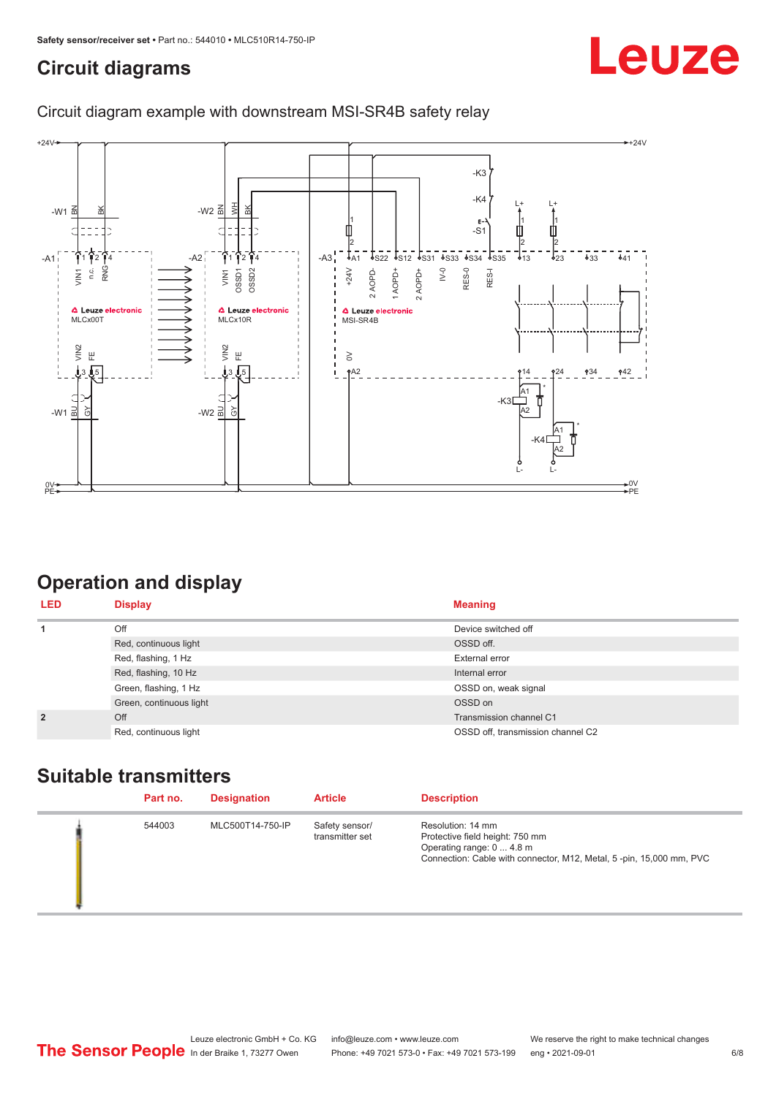## <span id="page-5-0"></span>**Circuit diagrams**

# Leuze

### Circuit diagram example with downstream MSI-SR4B safety relay



## **Operation and display**

| <b>LED</b>     | <b>Display</b>          | <b>Meaning</b>                    |
|----------------|-------------------------|-----------------------------------|
| 1              | Off                     | Device switched off               |
|                | Red, continuous light   | OSSD off.                         |
|                | Red, flashing, 1 Hz     | External error                    |
|                | Red, flashing, 10 Hz    | Internal error                    |
|                | Green, flashing, 1 Hz   | OSSD on, weak signal              |
|                | Green, continuous light | OSSD on                           |
| $\overline{2}$ | Off                     | Transmission channel C1           |
|                | Red, continuous light   | OSSD off, transmission channel C2 |

### **Suitable transmitters**

| Part no. | <b>Designation</b> | <b>Article</b>                    | <b>Description</b>                                                                                                                                       |
|----------|--------------------|-----------------------------------|----------------------------------------------------------------------------------------------------------------------------------------------------------|
| 544003   | MLC500T14-750-IP   | Safety sensor/<br>transmitter set | Resolution: 14 mm<br>Protective field height: 750 mm<br>Operating range: 0  4.8 m<br>Connection: Cable with connector, M12, Metal, 5-pin, 15,000 mm, PVC |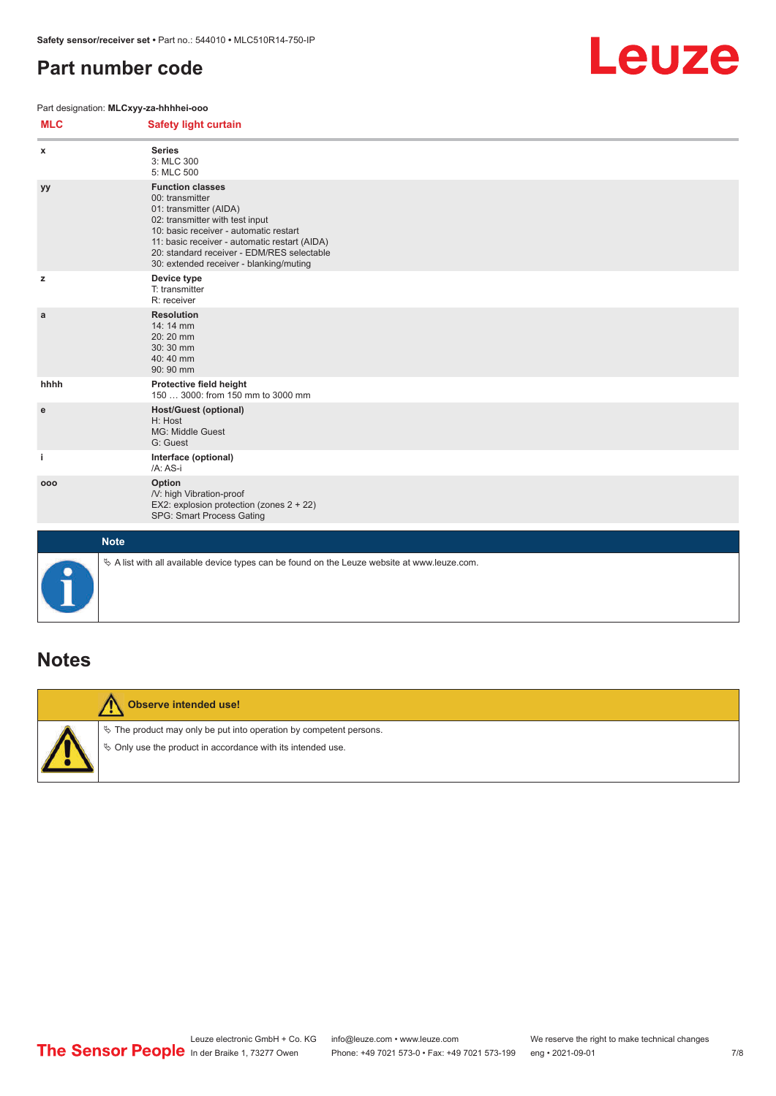## <span id="page-6-0"></span>**Part number code**

#### Part designation: **MLCxyy-za-hhhhei-ooo**



| <b>MLC</b>  | <b>Safety light curtain</b>                                                                                                                                                                                                                                                                 |
|-------------|---------------------------------------------------------------------------------------------------------------------------------------------------------------------------------------------------------------------------------------------------------------------------------------------|
| x           | <b>Series</b><br>3: MLC 300<br>5: MLC 500                                                                                                                                                                                                                                                   |
| уу          | <b>Function classes</b><br>00: transmitter<br>01: transmitter (AIDA)<br>02: transmitter with test input<br>10: basic receiver - automatic restart<br>11: basic receiver - automatic restart (AIDA)<br>20: standard receiver - EDM/RES selectable<br>30: extended receiver - blanking/muting |
| z           | Device type<br>T: transmitter<br>R: receiver                                                                                                                                                                                                                                                |
| a           | <b>Resolution</b><br>14: 14 mm<br>20:20 mm<br>30:30 mm<br>40:40 mm<br>90: 90 mm                                                                                                                                                                                                             |
| hhhh        | Protective field height<br>150  3000: from 150 mm to 3000 mm                                                                                                                                                                                                                                |
| е           | <b>Host/Guest (optional)</b><br>H: Host<br>MG: Middle Guest<br>G: Guest                                                                                                                                                                                                                     |
| j.          | Interface (optional)<br>/A: AS-i                                                                                                                                                                                                                                                            |
| 000         | Option<br>/V: high Vibration-proof<br>EX2: explosion protection (zones $2 + 22$ )<br>SPG: Smart Process Gating                                                                                                                                                                              |
| <b>Note</b> |                                                                                                                                                                                                                                                                                             |
| 0           | $\&$ A list with all available device types can be found on the Leuze website at www.leuze.com.                                                                                                                                                                                             |

### **Notes**



#### **Observe intended use!**

 $\%$  The product may only be put into operation by competent persons.

 $\%$  Only use the product in accordance with its intended use.